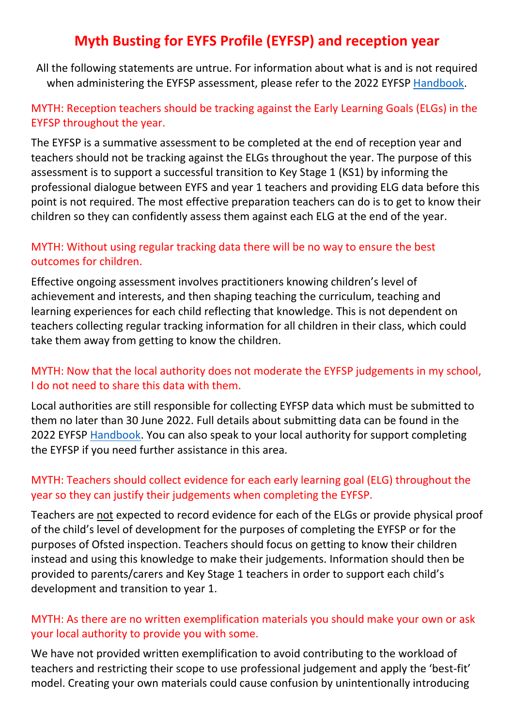# **Myth Busting for EYFS Profile (EYFSP) and reception year**

All the following statements are untrue. For information about what is and is not required when administering the EYFSP assessment, please refer to the 2022 EYFSP [Handbook.](https://assets.publishing.service.gov.uk/government/uploads/system/uploads/attachment_data/file/1024319/Early_years_foundation_stage_profile_handbook_2022.pdf)

## MYTH: Reception teachers should be tracking against the Early Learning Goals (ELGs) in the EYFSP throughout the year.

The EYFSP is a summative assessment to be completed at the end of reception year and teachers should not be tracking against the ELGs throughout the year. The purpose of this assessment is to support a successful transition to Key Stage 1 (KS1) by informing the professional dialogue between EYFS and year 1 teachers and providing ELG data before this point is not required. The most effective preparation teachers can do is to get to know their children so they can confidently assess them against each ELG at the end of the year.

### MYTH: Without using regular tracking data there will be no way to ensure the best outcomes for children.

Effective ongoing assessment involves practitioners knowing children's level of achievement and interests, and then shaping teaching the curriculum, teaching and learning experiences for each child reflecting that knowledge. This is not dependent on teachers collecting regular tracking information for all children in their class, which could take them away from getting to know the children.

## MYTH: Now that the local authority does not moderate the EYFSP judgements in my school, I do not need to share this data with them.

Local authorities are still responsible for collecting EYFSP data which must be submitted to them no later than 30 June 2022. Full details about submitting data can be found in the 2022 EYFSP [Handbook.](https://assets.publishing.service.gov.uk/government/uploads/system/uploads/attachment_data/file/1024319/Early_years_foundation_stage_profile_handbook_2022.pdf) You can also speak to your local authority for support completing the EYFSP if you need further assistance in this area.

#### MYTH: Teachers should collect evidence for each early learning goal (ELG) throughout the year so they can justify their judgements when completing the EYFSP.

Teachers are not expected to record evidence for each of the ELGs or provide physical proof of the child's level of development for the purposes of completing the EYFSP or for the purposes of Ofsted inspection. Teachers should focus on getting to know their children instead and using this knowledge to make their judgements. Information should then be provided to parents/carers and Key Stage 1 teachers in order to support each child's development and transition to year 1.

#### MYTH: As there are no written exemplification materials you should make your own or ask your local authority to provide you with some.

We have not provided written exemplification to avoid contributing to the workload of teachers and restricting their scope to use professional judgement and apply the 'best-fit' model. Creating your own materials could cause confusion by unintentionally introducing